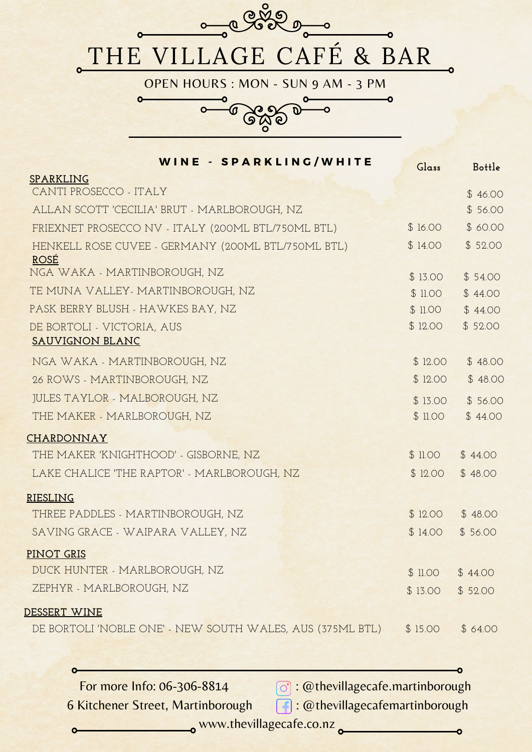

| WINE - SPARKLING/WHITE                                    | Glass    | Bottle   |
|-----------------------------------------------------------|----------|----------|
| <b>SPARKLING</b>                                          |          |          |
| CANTI PROSECCO - ITALY                                    |          | \$46.00  |
| ALLAN SCOTT 'CECILIA' BRUT - MARLBOROUGH, NZ              |          | \$56.00  |
| FRIEXNET PROSECCO NV - ITALY (200ML BTL/750ML BTL)        | \$16.00  | \$ 60.00 |
| HENKELL ROSE CUVEE - GERMANY (200ML BTL/750ML BTL)        | \$14.00  | \$52.00  |
| <b>ROSÉ</b><br>NGA WAKA - MARTINBOROUGH, NZ               |          |          |
|                                                           | \$13.00  | \$54.00  |
| TE MUNA VALLEY- MARTINBOROUGH, NZ                         | \$ 11.00 | \$44.00  |
| PASK BERRY BLUSH - HAWKES BAY, NZ                         | \$11.00  | \$44.00  |
| DE BORTOLI - VICTORIA, AUS<br><b>SAUVIGNON BLANC</b>      | \$12.00  | \$52.00  |
|                                                           |          |          |
| NGA WAKA - MARTINBOROUGH, NZ                              | \$12.00  | \$48.00  |
| 26 ROWS - MARTINBOROUGH, NZ                               | \$12.00  | \$48.00  |
| <b>JULES TAYLOR - MALBOROUGH, NZ</b>                      | \$13.00  | \$56.00  |
| THE MAKER - MARLBOROUGH, NZ                               | \$11.00  | \$44.00  |
| <b>CHARDONNAY</b>                                         |          |          |
| THE MAKER 'KNIGHTHOOD' - GISBORNE, NZ                     | \$11.00  | \$44.00  |
| LAKE CHALICE 'THE RAPTOR' - MARLBOROUGH, NZ               | \$12.00  | \$48.00  |
| <b>RIESLING</b>                                           |          |          |
| THREE PADDLES - MARTINBOROUGH, NZ                         | \$12.00  | \$48.00  |
| SAVING GRACE - WAIPARA VALLEY, NZ                         | \$14.00  | \$56.00  |
| <b>PINOT GRIS</b>                                         |          |          |
| DUCK HUNTER - MARLBOROUGH, NZ                             | \$11.00  | \$44.00  |
| ZEPHYR - MARLBOROUGH, NZ                                  | \$13.00  | \$52.00  |
| <u>DESSERT WINE</u>                                       |          |          |
| DE BORTOLI 'NOBLE ONE' - NEW SOUTH WALES, AUS (375ML BTL) | \$15.00  | \$64.00  |
|                                                           |          |          |

For more Info: 06-306-8814  $\bigcirc$  : @thevillagecafe.martinborough 6 Kitchener Street, Martinborough : @thevillagecafemartinborough

 $\bullet$ 

 $\bullet$ 

o www.thevillagecafe.co.nz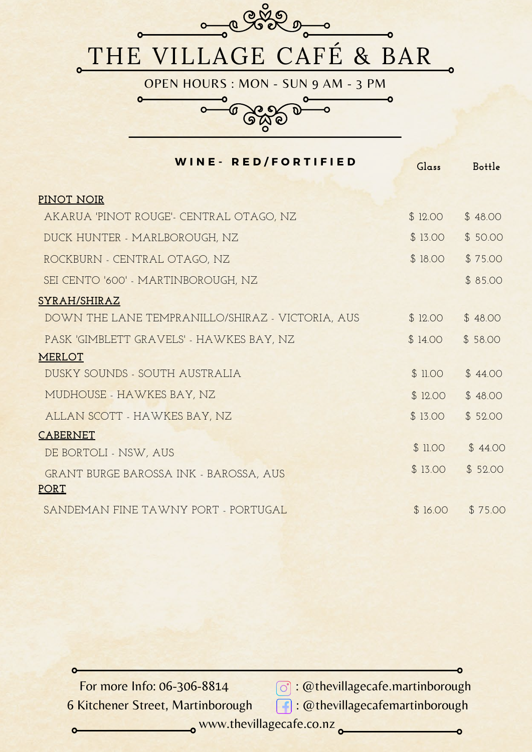

| <b>WINE- RED/FORTIFIED</b>                                   | Glass   | Bottle  |
|--------------------------------------------------------------|---------|---------|
| PINOT NOIR                                                   |         |         |
| AKARUA 'PINOT ROUGE'- CENTRAL OTAGO, NZ                      | \$12.00 | \$48.00 |
| DUCK HUNTER - MARLBOROUGH, NZ                                | \$13.00 | \$50.00 |
| ROCKBURN - CENTRAL OTAGO, NZ                                 | \$18.00 | \$75.00 |
| SEI CENTO '600' - MARTINBOROUGH, NZ                          |         | \$85.00 |
| SYRAH/SHIRAZ                                                 |         |         |
| DOWN THE LANE TEMPRANILLO/SHIRAZ - VICTORIA, AUS             | \$12.00 | \$48.00 |
| PASK 'GIMBLETT GRAVELS' - HAWKES BAY, NZ                     | \$14.00 | \$58.00 |
| <b>MERLOT</b>                                                |         |         |
| DUSKY SOUNDS - SOUTH AUSTRALIA                               | \$11.00 | \$44.00 |
| MUDHOUSE - HAWKES BAY, NZ                                    | \$12.00 | \$48.00 |
| ALLAN SCOTT - HAWKES BAY, NZ                                 | \$13.00 | \$52.00 |
| <b>CABERNET</b>                                              |         |         |
| DE BORTOLI - NSW, AUS                                        | \$11.00 | \$44.00 |
| <b>GRANT BURGE BAROSSA INK - BAROSSA, AUS</b><br><b>PORT</b> | \$13.00 | \$52.00 |
| SANDEMAN FINE TAWNY PORT - PORTUGAL                          | \$16.00 | \$75.00 |